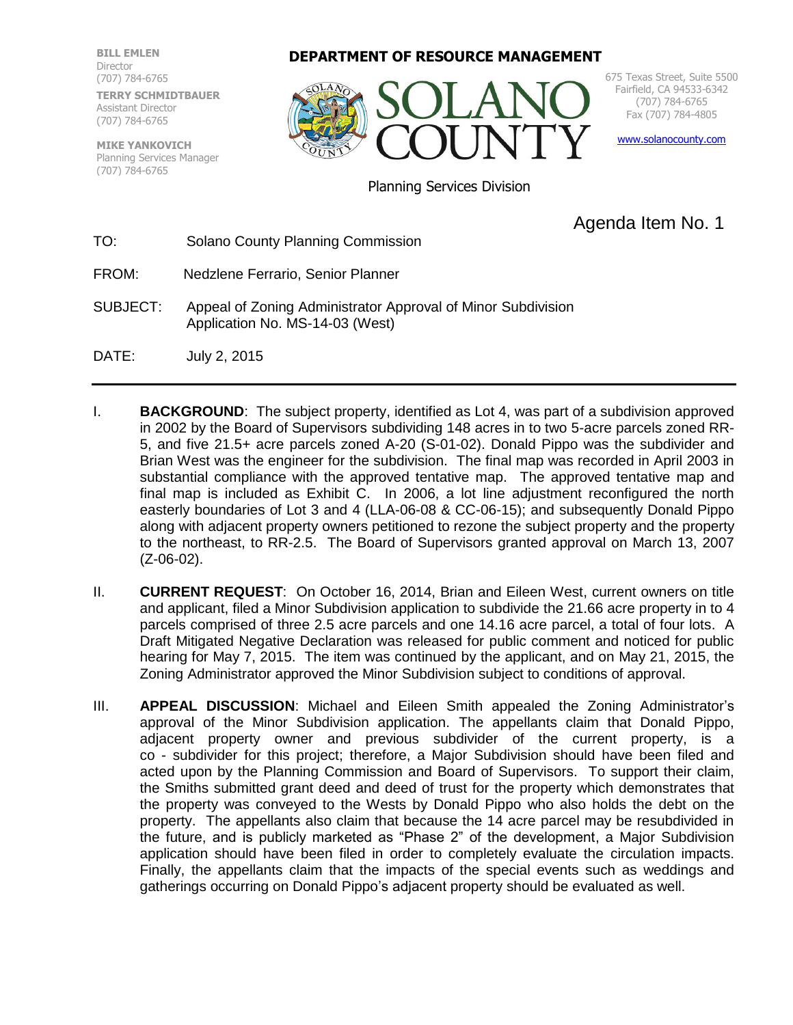**BILL EMLEN** Director (707) 784-6765 **TERRY SCHMIDTBAUER** Assistant Director (707) 784-6765

**MIKE YANKOVICH** Planning Services Manager (707) 784-6765

**DEPARTMENT OF RESOURCE MANAGEMENT**



675 Texas Street, Suite 5500 Fairfield, CA 94533-6342 (707) 784-6765 Fax (707) 784-4805

[www.solanocounty.com](http://www.solanocounty.com/)

Planning Services Division

## Agenda Item No. 1

TO: Solano County Planning Commission

- FROM: Nedzlene Ferrario, Senior Planner
- SUBJECT: Appeal of Zoning Administrator Approval of Minor Subdivision Application No. MS-14-03 (West)
- DATE: July 2, 2015
- I. **BACKGROUND**: The subject property, identified as Lot 4, was part of a subdivision approved in 2002 by the Board of Supervisors subdividing 148 acres in to two 5-acre parcels zoned RR-5, and five 21.5+ acre parcels zoned A-20 (S-01-02). Donald Pippo was the subdivider and Brian West was the engineer for the subdivision. The final map was recorded in April 2003 in substantial compliance with the approved tentative map. The approved tentative map and final map is included as Exhibit C. In 2006, a lot line adjustment reconfigured the north easterly boundaries of Lot 3 and 4 (LLA-06-08 & CC-06-15); and subsequently Donald Pippo along with adjacent property owners petitioned to rezone the subject property and the property to the northeast, to RR-2.5. The Board of Supervisors granted approval on March 13, 2007 (Z-06-02).
- II. **CURRENT REQUEST**: On October 16, 2014, Brian and Eileen West, current owners on title and applicant, filed a Minor Subdivision application to subdivide the 21.66 acre property in to 4 parcels comprised of three 2.5 acre parcels and one 14.16 acre parcel, a total of four lots. A Draft Mitigated Negative Declaration was released for public comment and noticed for public hearing for May 7, 2015. The item was continued by the applicant, and on May 21, 2015, the Zoning Administrator approved the Minor Subdivision subject to conditions of approval.
- III. **APPEAL DISCUSSION**: Michael and Eileen Smith appealed the Zoning Administrator's approval of the Minor Subdivision application. The appellants claim that Donald Pippo, adjacent property owner and previous subdivider of the current property, is a co - subdivider for this project; therefore, a Major Subdivision should have been filed and acted upon by the Planning Commission and Board of Supervisors. To support their claim, the Smiths submitted grant deed and deed of trust for the property which demonstrates that the property was conveyed to the Wests by Donald Pippo who also holds the debt on the property. The appellants also claim that because the 14 acre parcel may be resubdivided in the future, and is publicly marketed as "Phase 2" of the development, a Major Subdivision application should have been filed in order to completely evaluate the circulation impacts. Finally, the appellants claim that the impacts of the special events such as weddings and gatherings occurring on Donald Pippo's adjacent property should be evaluated as well.